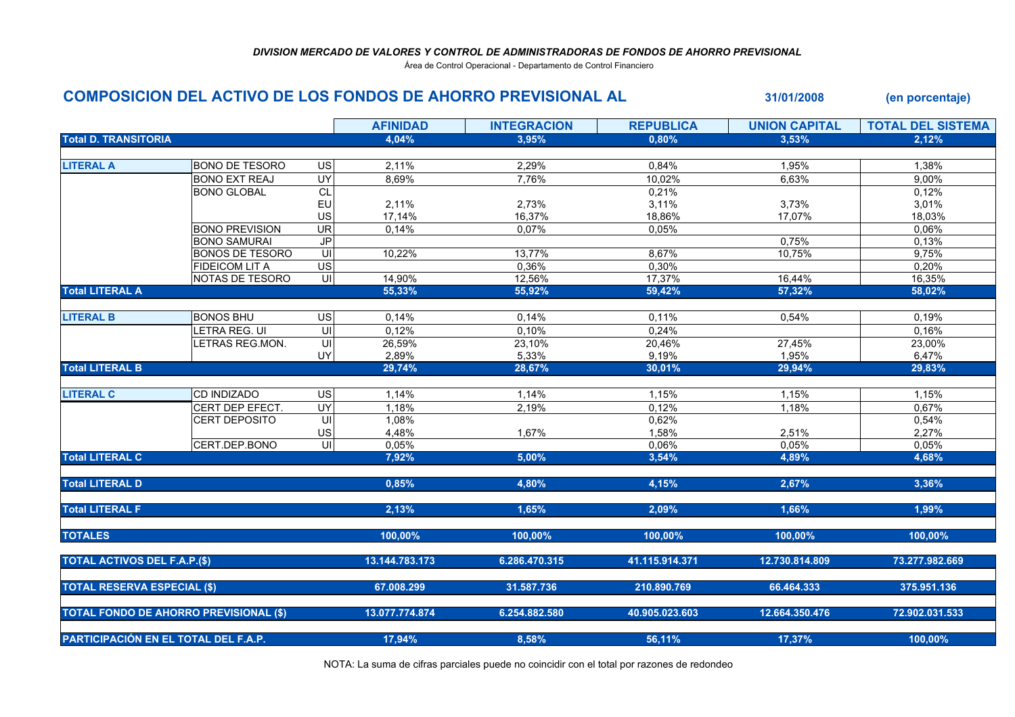## DIVISION MERCADO DE VALORES Y CONTROL DE ADMINISTRADORAS DE FONDOS DE AHORRO PREVISIONAL

Área de Control Operacional - Departamento de Control Financiero

| COMPOSICION DEL ACTIVO DE LOS FONDOS DE AHORRO PREVISIONAL AL |                        |                          |                 |                    |                  | 31/01/2008           | (en porcentaje)          |
|---------------------------------------------------------------|------------------------|--------------------------|-----------------|--------------------|------------------|----------------------|--------------------------|
|                                                               |                        |                          | <b>AFINIDAD</b> | <b>INTEGRACION</b> | <b>REPUBLICA</b> | <b>UNION CAPITAL</b> | <b>TOTAL DEL SISTEMA</b> |
| <b>Total D. TRANSITORIA</b>                                   |                        |                          | 4.04%           | 3.95%              | 0.80%            | 3.53%                | 2.12%                    |
|                                                               |                        |                          |                 |                    |                  |                      |                          |
| <b>LITERAL A</b>                                              | <b>BONO DE TESORO</b>  | US                       | 2,11%           | 2,29%              | 0,84%            | 1,95%                | 1,38%                    |
|                                                               | <b>BONO EXT REAJ</b>   | <b>UY</b>                | 8,69%           | 7,76%              | 10,02%           | 6,63%                | 9,00%                    |
|                                                               | <b>BONO GLOBAL</b>     | $\overline{CL}$          |                 |                    | 0,21%            |                      | 0,12%                    |
|                                                               |                        | EU                       | 2,11%           | 2,73%              | 3,11%            | 3,73%                | 3,01%                    |
|                                                               |                        | US                       | 17,14%          | 16,37%             | 18,86%           | 17,07%               | 18,03%                   |
|                                                               | <b>BONO PREVISION</b>  | $\overline{\mathsf{UR}}$ | 0,14%           | 0,07%              | 0,05%            |                      | 0,06%                    |
|                                                               | <b>BONO SAMURAI</b>    | J <sub>P</sub>           |                 |                    |                  | 0,75%                | 0,13%                    |
|                                                               | <b>BONOS DE TESORO</b> | S                        | 10,22%          | 13,77%             | 8,67%            | $10,75\%$            | 9,75%                    |
|                                                               | <b>FIDEICOM LIT A</b>  | US                       |                 | 0,36%              | 0,30%            |                      | 0,20%                    |
|                                                               | NOTAS DE TESORO        | $\overline{U}$           | 14,90%          | 12,56%             | 17,37%           | 16,44%               | 16,35%                   |
| <b>Total LITERAL A</b>                                        |                        |                          | 55,33%          | 55,92%             | 59,42%           | 57,32%               | 58,02%                   |
| <b>LITERAL B</b>                                              | <b>BONOS BHU</b>       | US                       | 0,14%           | 0,14%              | 0,11%            | 0,54%                | 0,19%                    |
|                                                               | LETRA REG. UI          | UI                       | 0,12%           | 0,10%              | 0,24%            |                      | 0,16%                    |
|                                                               | LETRAS REG.MON.        | UI                       | 26,59%          | 23,10%             | 20,46%           | 27,45%               | 23,00%                   |
|                                                               |                        | UY                       | 2,89%           | 5,33%              | 9,19%            | 1,95%                | 6,47%                    |
| <b>Total LITERAL B</b>                                        |                        |                          | 29,74%          | 28,67%             | 30,01%           | 29,94%               | 29,83%                   |
| <b>LITERAL C</b>                                              | CD INDIZADO            | $\overline{US}$          | 1,14%           | 1,14%              | 1,15%            | 1,15%                | 1,15%                    |
|                                                               | CERT DEP EFECT.        | UY                       | 1,18%           | 2,19%              | 0,12%            | 1,18%                | 0,67%                    |
|                                                               | <b>CERT DEPOSITO</b>   | $\equiv$                 | 1,08%           |                    | 0,62%            |                      | 0,54%                    |
|                                                               |                        | US                       | 4,48%           | 1,67%              | 1,58%            | 2,51%                | 2,27%                    |
|                                                               | CERT.DEP.BONO          | UI                       | 0,05%           |                    | 0,06%            | 0,05%                | 0,05%                    |
| <b>Total LITERAL C</b>                                        |                        |                          | 7,92%           | 5.00%              | 3,54%            | 4,89%                | 4,68%                    |
| <b>Total LITERAL D</b>                                        |                        |                          | 0,85%           | 4,80%              | 4,15%            | 2,67%                | 3,36%                    |
|                                                               |                        |                          |                 |                    |                  |                      |                          |
| <b>Total LITERAL F</b>                                        |                        |                          | 2,13%           | 1,65%              | 2,09%            | 1,66%                | 1,99%                    |
| <b>TOTALES</b>                                                |                        |                          | 100,00%         | 100,00%            | 100,00%          | 100,00%              | 100,00%                  |
| <b>TOTAL ACTIVOS DEL F.A.P.(\$)</b>                           |                        |                          | 13.144.783.173  | 6.286.470.315      | 41.115.914.371   | 12.730.814.809       | 73.277.982.669           |
|                                                               |                        |                          |                 |                    |                  |                      |                          |
| <b>TOTAL RESERVA ESPECIAL (\$)</b>                            |                        |                          | 67.008.299      | 31.587.736         | 210.890.769      | 66.464.333           | 375.951.136              |
| <b>TOTAL FONDO DE AHORRO PREVISIONAL (\$)</b>                 |                        |                          | 13.077.774.874  | 6.254.882.580      | 40.905.023.603   | 12.664.350.476       | 72.902.031.533           |
|                                                               |                        |                          |                 |                    |                  |                      |                          |
| PARTICIPACIÓN EN EL TOTAL DEL F.A.P.                          |                        |                          | 17,94%          | 8,58%              | 56,11%           | 17,37%               | 100,00%                  |

NOTA: La suma de cifras parciales puede no coincidir con el total por razones de redondeo